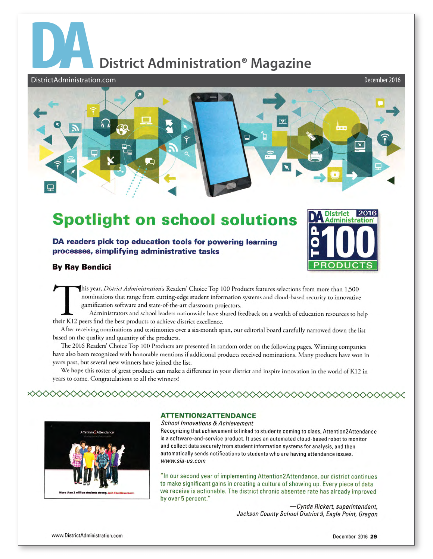## **District Administration<sup>®</sup> Magazine**

DistrictAdministration.com



## **Spotlight on school solutions**

DA readers pick top education tools for powering learning processes, simplifying administrative tasks



**By Ray Bendici** 

his year, District Administration's Readers' Choice Top 100 Products features selections from more than 1,500 nominations that range from cutting-edge student information systems and cloud-based security to innovative gamification software and state-of-the-art classroom projectors.

Administrators and school leaders nationwide have shared feedback on a wealth of education resources to help their K12 peers find the best products to achieve district excellence.

After receiving nominations and testimonies over a six-month span, our editorial board carefully narrowed down the list based on the quality and quantity of the products.

The 2016 Readers' Choice Top 100 Products are presented in random order on the following pages. Winning companies have also been recognized with honorable mentions if additional products received nominations. Many products have won in years past, but several new winners have joined the list.

We hope this roster of great products can make a difference in your district and inspire innovation in the world of K12 in years to come. Congratulations to all the winners!



## **ATTENTION2ATTENDANCE**

◇◇◇◇◇◇◇◇◇◇◇◇◇◇◇◇◇

**School Innovations & Achievement** 

Recognizing that achievement is linked to students coming to class, Attention2Attendance is a software-and-service product. It uses an automated cloud-based robot to monitor and collect data securely from student information systems for analysis, and then automatically sends notifications to students who are having attendance issues. www.sia-us.com

"In our second year of implementing Attention2Attendance, our district continues to make significant gains in creating a culture of showing up. Every piece of data we receive is actionable. The district chronic absentee rate has already improved by over 5 percent."

> -Cynda Rickert, superintendent, Jackson County School District 9, Eagle Point, Oregon